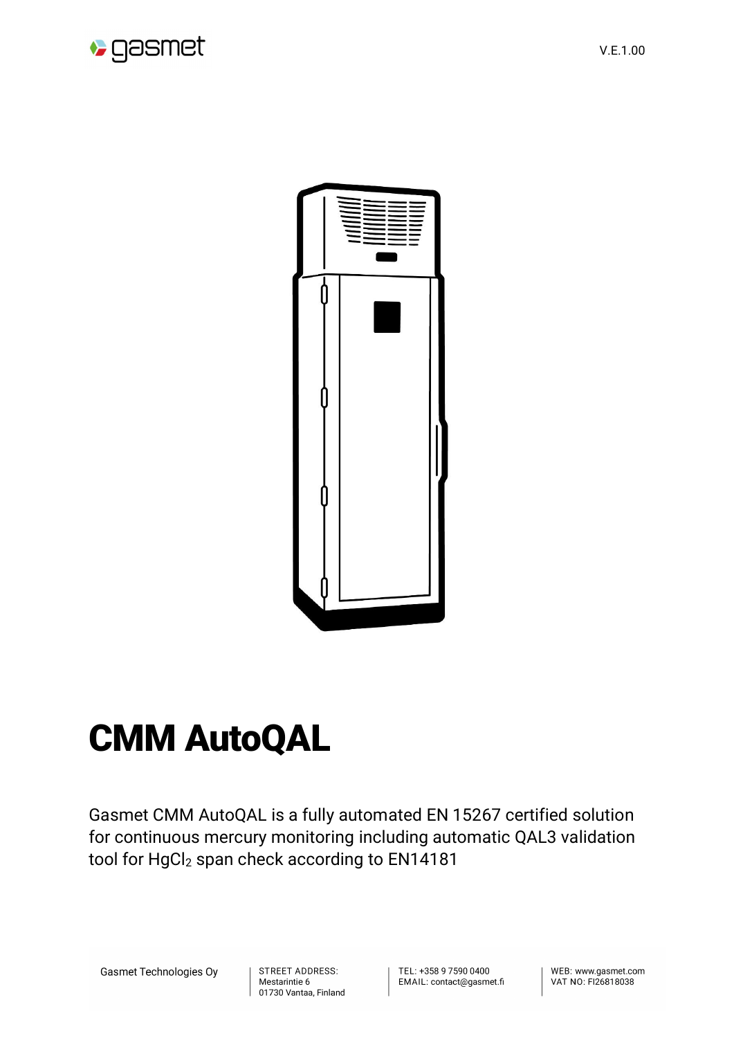

V.E.1.00



## CMM AutoQAL

Gasmet CMM AutoQAL is a fully automated EN 15267 certified solution for continuous mercury monitoring including automatic QAL3 validation tool for HgCl<sub>2</sub> span check according to EN14181

**Gasmet Technologies Oy** 

STREET ADDRESS: Mestarintie 6 01730 Vantaa, Finland TEL: +358 9 7590 0400 EMAIL: contact@gasmet.fi WEB: www.gasmet.com VAT NO: FI26818038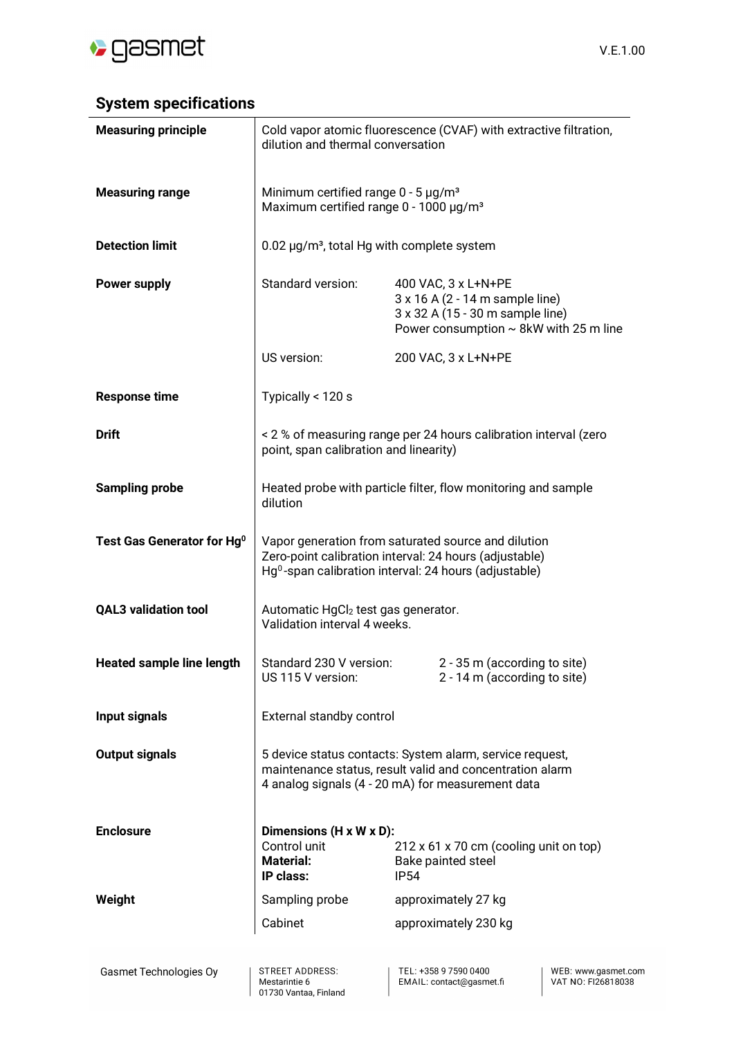

## **System specifications**

| <b>Measuring principle</b>             | Cold vapor atomic fluorescence (CVAF) with extractive filtration,<br>dilution and thermal conversation                                                                    |                                                                                                                                           |  |
|----------------------------------------|---------------------------------------------------------------------------------------------------------------------------------------------------------------------------|-------------------------------------------------------------------------------------------------------------------------------------------|--|
| <b>Measuring range</b>                 | Minimum certified range $0 - 5 \mu g/m3$<br>Maximum certified range 0 - 1000 µg/m <sup>3</sup>                                                                            |                                                                                                                                           |  |
| <b>Detection limit</b>                 | 0.02 µg/m <sup>3</sup> , total Hg with complete system                                                                                                                    |                                                                                                                                           |  |
| <b>Power supply</b>                    | Standard version:                                                                                                                                                         | 400 VAC, 3 x L+N+PE<br>3 x 16 A (2 - 14 m sample line)<br>3 x 32 A (15 - 30 m sample line)<br>Power consumption $\sim$ 8kW with 25 m line |  |
|                                        | US version:                                                                                                                                                               | 200 VAC, 3 x L+N+PE                                                                                                                       |  |
| <b>Response time</b>                   | Typically < 120 s                                                                                                                                                         |                                                                                                                                           |  |
| <b>Drift</b>                           | < 2 % of measuring range per 24 hours calibration interval (zero<br>point, span calibration and linearity)                                                                |                                                                                                                                           |  |
| <b>Sampling probe</b>                  | Heated probe with particle filter, flow monitoring and sample<br>dilution                                                                                                 |                                                                                                                                           |  |
| Test Gas Generator for Hg <sup>0</sup> | Vapor generation from saturated source and dilution<br>Zero-point calibration interval: 24 hours (adjustable)<br>$Hg0$ -span calibration interval: 24 hours (adjustable)  |                                                                                                                                           |  |
| <b>QAL3 validation tool</b>            | Automatic HgCl <sub>2</sub> test gas generator.<br>Validation interval 4 weeks.                                                                                           |                                                                                                                                           |  |
| <b>Heated sample line length</b>       | Standard 230 V version:<br>US 115 V version:                                                                                                                              | 2 - 35 m (according to site)<br>2 - 14 m (according to site)                                                                              |  |
| Input signals                          | External standby control                                                                                                                                                  |                                                                                                                                           |  |
| <b>Output signals</b>                  | 5 device status contacts: System alarm, service request,<br>maintenance status, result valid and concentration alarm<br>4 analog signals (4 - 20 mA) for measurement data |                                                                                                                                           |  |
| <b>Enclosure</b>                       | Dimensions (H x W x D):<br>Control unit<br><b>Material:</b><br>IP class:                                                                                                  | 212 x 61 x 70 cm (cooling unit on top)<br>Bake painted steel<br><b>IP54</b>                                                               |  |
| Weight                                 | Sampling probe                                                                                                                                                            | approximately 27 kg                                                                                                                       |  |
|                                        | Cabinet                                                                                                                                                                   | approximately 230 kg                                                                                                                      |  |